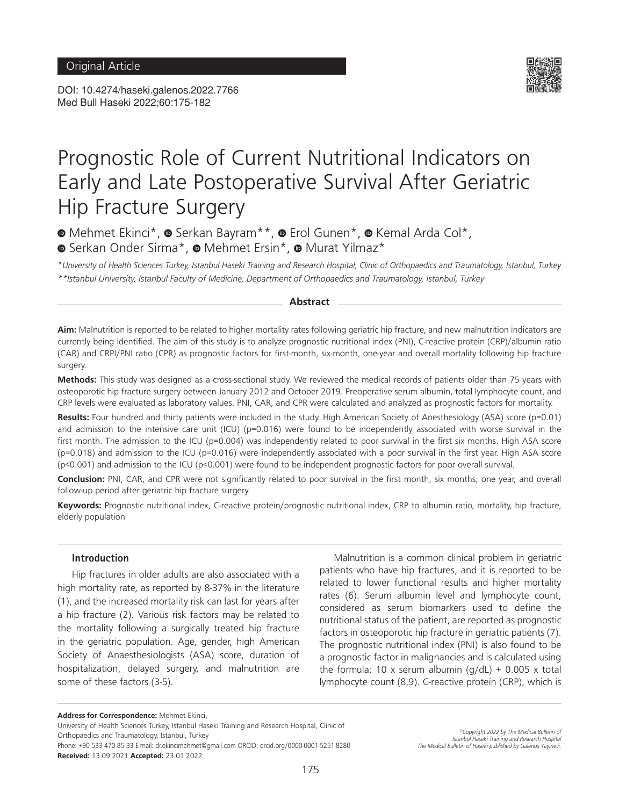DOI: 10.4274/haseki.galenos.2022.7766 Med Bull Haseki 2022;60:175-182



# Prognostic Role of Current Nutritional Indicators on Early and Late Postoperative Survival After Geriatric Hip Fracture Surgery

**MehmetEkinci\*, © Serkan Bayram\*\*, © Erol Gunen\*, © Kemal Arda Col\*, .**Serkan Onder Sirma\*, **■** Serkan Onder Sirma\*, **■** Mehmet Ersin\*, 
■ Murat Yilmaz\*

*\*University of Health Sciences Turkey, Istanbul Haseki Training and Research Hospital, Clinic of Orthopaedics and Traumatology, Istanbul, Turkey \*\*Istanbul University, Istanbul Faculty of Medicine, Department of Orthopaedics and Traumatology, Istanbul, Turkey*

**Abstract**

**Aim:** Malnutrition is reported to be related to higher mortality rates following geriatric hip fracture, and new malnutrition indicators are currently being identified. The aim of this study is to analyze prognostic nutritional index (PNI), C-reactive protein (CRP)/albumin ratio (CAR) and CRPI/PNI ratio (CPR) as prognostic factors for first-month, six-month, one-year and overall mortality following hip fracture surgery.

**Methods:** This study was designed as a cross-sectional study. We reviewed the medical records of patients older than 75 years with osteoporotic hip fracture surgery between January 2012 and October 2019. Preoperative serum albumin, total lymphocyte count, and CRP levels were evaluated as laboratory values. PNI, CAR, and CPR were calculated and analyzed as prognostic factors for mortality.

**Results:** Four hundred and thirty patients were included in the study. High American Society of Anesthesiology (ASA) score (p=0.01) and admission to the intensive care unit (ICU) (p=0.016) were found to be independently associated with worse survival in the first month. The admission to the ICU (p=0.004) was independently related to poor survival in the first six months. High ASA score (p=0.018) and admission to the ICU (p=0.016) were independently associated with a poor survival in the first year. High ASA score  $(p<0.001)$  and admission to the ICU ( $p<0.001$ ) were found to be independent prognostic factors for poor overall survival.

**Conclusion:** PNI, CAR, and CPR were not significantly related to poor survival in the first month, six months, one year, and overall follow-up period after geriatric hip fracture surgery.

**Keywords:** Prognostic nutritional index, C-reactive protein/prognostic nutritional index, CRP to albumin ratio, mortality, hip fracture, elderly population

#### **Introduction**

Hip fractures in older adults are also associated with a high mortality rate, as reported by 8-37% in the literature (1), and the increased mortality risk can last for years after a hip fracture (2). Various risk factors may be related to the mortality following a surgically treated hip fracture in the geriatric population. Age, gender, high American Society of Anaesthesiologists (ASA) score, duration of hospitalization, delayed surgery, and malnutrition are some of these factors (3-5).

Malnutrition is a common clinical problem in geriatric patients who have hip fractures, and it is reported to be related to lower functional results and higher mortality rates (6). Serum albumin level and lymphocyte count, considered as serum biomarkers used to define the nutritional status of the patient, are reported as prognostic factors in osteoporotic hip fracture in geriatric patients (7). The prognostic nutritional index (PNI) is also found to be a prognostic factor in malignancies and is calculated using the formula: 10 x serum albumin  $(q/dL) + 0.005$  x total lymphocyte count (8,9). C-reactive protein (CRP), which is

**Address for Correspondence:** Mehmet Ekinci,

University of Health Sciences Turkey, Istanbul Haseki Training and Research Hospital, Clinic of Orthopaedics and Traumatology, Istanbul, Turkey

Phone: +90 533 470 85 33 E-mail: dr.ekincimehmet@gmail.com ORCID: orcid.org/0000-0001-5251-8280 **Received:** 13.09.2021 **Accepted:** 23.01.2022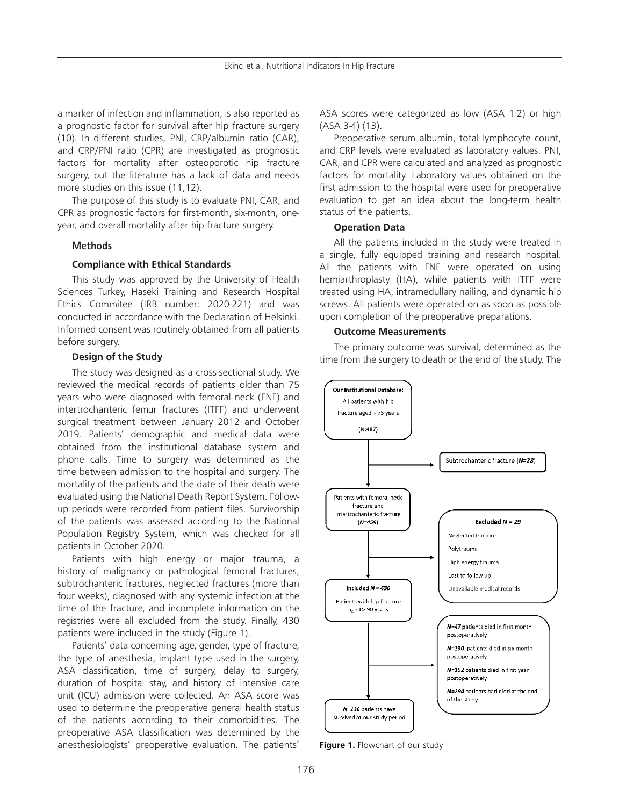a marker of infection and inflammation, is also reported as a prognostic factor for survival after hip fracture surgery (10). In different studies, PNI, CRP/albumin ratio (CAR), and CRP/PNI ratio (CPR) are investigated as prognostic factors for mortality after osteoporotic hip fracture surgery, but the literature has a lack of data and needs more studies on this issue (11,12).

The purpose of this study is to evaluate PNI, CAR, and CPR as prognostic factors for first-month, six-month, oneyear, and overall mortality after hip fracture surgery.

#### **Methods**

## **Compliance with Ethical Standards**

This study was approved by the University of Health Sciences Turkey, Haseki Training and Research Hospital Ethics Commitee (IRB number: 2020-221) and was conducted in accordance with the Declaration of Helsinki. Informed consent was routinely obtained from all patients before surgery.

#### **Design of the Study**

The study was designed as a cross-sectional study. We reviewed the medical records of patients older than 75 years who were diagnosed with femoral neck (FNF) and intertrochanteric femur fractures (ITFF) and underwent surgical treatment between January 2012 and October 2019. Patients' demographic and medical data were obtained from the institutional database system and phone calls. Time to surgery was determined as the time between admission to the hospital and surgery. The mortality of the patients and the date of their death were evaluated using the National Death Report System. Followup periods were recorded from patient files. Survivorship of the patients was assessed according to the National Population Registry System, which was checked for all patients in October 2020.

Patients with high energy or major trauma, a history of malignancy or pathological femoral fractures, subtrochanteric fractures, neglected fractures (more than four weeks), diagnosed with any systemic infection at the time of the fracture, and incomplete information on the registries were all excluded from the study. Finally, 430 patients were included in the study (Figure 1).

Patients' data concerning age, gender, type of fracture, the type of anesthesia, implant type used in the surgery, ASA classification, time of surgery, delay to surgery, duration of hospital stay, and history of intensive care unit (ICU) admission were collected. An ASA score was used to determine the preoperative general health status of the patients according to their comorbidities. The preoperative ASA classification was determined by the anesthesiologists' preoperative evaluation. The patients'

ASA scores were categorized as low (ASA 1-2) or high (ASA 3-4) (13).

Preoperative serum albumin, total lymphocyte count, and CRP levels were evaluated as laboratory values. PNI, CAR, and CPR were calculated and analyzed as prognostic factors for mortality. Laboratory values obtained on the first admission to the hospital were used for preoperative evaluation to get an idea about the long-term health status of the patients.

#### **Operation Data**

All the patients included in the study were treated in a single, fully equipped training and research hospital. All the patients with FNF were operated on using hemiarthroplasty (HA), while patients with ITFF were treated using HA, intramedullary nailing, and dynamic hip screws. All patients were operated on as soon as possible upon completion of the preoperative preparations.

#### **Outcome Measurements**

The primary outcome was survival, determined as the time from the surgery to death or the end of the study. The



**Figure 1.** Flowchart of our study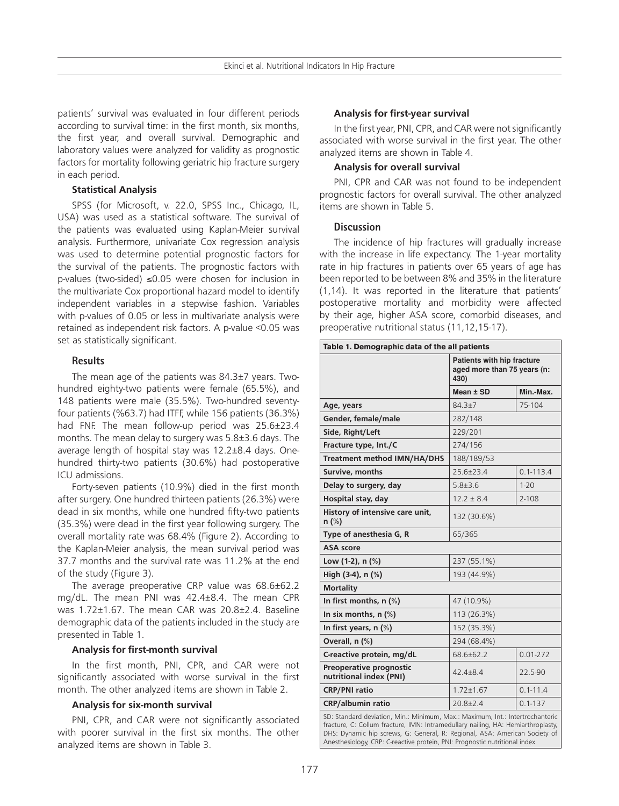patients' survival was evaluated in four different periods according to survival time: in the first month, six months, the first year, and overall survival. Demographic and laboratory values were analyzed for validity as prognostic factors for mortality following geriatric hip fracture surgery in each period.

#### **Statistical Analysis**

SPSS (for Microsoft, v. 22.0, SPSS Inc., Chicago, IL, USA) was used as a statistical software. The survival of the patients was evaluated using Kaplan-Meier survival analysis. Furthermore, univariate Cox regression analysis was used to determine potential prognostic factors for the survival of the patients. The prognostic factors with p-values (two-sided) ≤0.05 were chosen for inclusion in the multivariate Cox proportional hazard model to identify independent variables in a stepwise fashion. Variables with p-values of 0.05 or less in multivariate analysis were retained as independent risk factors. A p-value <0.05 was set as statistically significant.

#### **Results**

The mean age of the patients was 84.3±7 years. Twohundred eighty-two patients were female (65.5%), and 148 patients were male (35.5%). Two-hundred seventyfour patients (%63.7) had ITFF, while 156 patients (36.3%) had FNF. The mean follow-up period was 25.6±23.4 months. The mean delay to surgery was 5.8±3.6 days. The average length of hospital stay was 12.2±8.4 days. Onehundred thirty-two patients (30.6%) had postoperative ICU admissions.

Forty-seven patients (10.9%) died in the first month after surgery. One hundred thirteen patients (26.3%) were dead in six months, while one hundred fifty-two patients (35.3%) were dead in the first year following surgery. The overall mortality rate was 68.4% (Figure 2). According to the Kaplan-Meier analysis, the mean survival period was 37.7 months and the survival rate was 11.2% at the end of the study (Figure 3).

The average preoperative CRP value was 68.6±62.2 mg/dL. The mean PNI was 42.4±8.4. The mean CPR was 1.72±1.67. The mean CAR was 20.8±2.4. Baseline demographic data of the patients included in the study are presented in Table 1.

#### **Analysis for first-month survival**

In the first month, PNI, CPR, and CAR were not significantly associated with worse survival in the first month. The other analyzed items are shown in Table 2.

#### **Analysis for six-month survival**

PNI, CPR, and CAR were not significantly associated with poorer survival in the first six months. The other analyzed items are shown in Table 3.

#### **Analysis for first-year survival**

In the first year, PNI, CPR, and CAR were not significantly associated with worse survival in the first year. The other analyzed items are shown in Table 4.

#### **Analysis for overall survival**

PNI, CPR and CAR was not found to be independent prognostic factors for overall survival. The other analyzed items are shown in Table 5.

#### **Discussion**

The incidence of hip fractures will gradually increase with the increase in life expectancy. The 1-year mortality rate in hip fractures in patients over 65 years of age has been reported to be between 8% and 35% in the literature (1,14). It was reported in the literature that patients' postoperative mortality and morbidity were affected by their age, higher ASA score, comorbid diseases, and preoperative nutritional status (11,12,15-17).

| Table 1. Demographic data of the all patients                                 |                                                                   |               |  |
|-------------------------------------------------------------------------------|-------------------------------------------------------------------|---------------|--|
|                                                                               | Patients with hip fracture<br>aged more than 75 years (n:<br>430) |               |  |
|                                                                               | Mean ± SD                                                         | Min.-Max.     |  |
| Age, years                                                                    | 84.3±7                                                            | 75-104        |  |
| Gender, female/male                                                           | 282/148                                                           |               |  |
| Side, Right/Left                                                              | 229/201                                                           |               |  |
| Fracture type, Int./C                                                         | 274/156                                                           |               |  |
| <b>Treatment method IMN/HA/DHS</b>                                            | 188/189/53                                                        |               |  |
| Survive, months                                                               | $25.6 \pm 23.4$                                                   | $0.1 - 113.4$ |  |
| Delay to surgery, day                                                         | $5.8 \pm 3.6$                                                     | $1 - 20$      |  |
| Hospital stay, day                                                            | $12.2 \pm 8.4$                                                    | $2 - 108$     |  |
| History of intensive care unit,<br>n (%)                                      | 132 (30.6%)                                                       |               |  |
| Type of anesthesia G, R                                                       | 65/365                                                            |               |  |
| <b>ASA</b> score                                                              |                                                                   |               |  |
| Low $(1-2)$ , n $(\%)$                                                        | 237 (55.1%)                                                       |               |  |
| High $(3-4)$ , n $(\%)$                                                       | 193 (44.9%)                                                       |               |  |
| <b>Mortality</b>                                                              |                                                                   |               |  |
| In first months, $n$ (%)                                                      | 47 (10.9%)                                                        |               |  |
| In six months, $n$ (%)                                                        | 113 (26.3%)                                                       |               |  |
| In first years, $n$ (%)                                                       | 152 (35.3%)                                                       |               |  |
| Overall, n (%)                                                                | 294 (68.4%)                                                       |               |  |
| C-reactive protein, mg/dL                                                     | 68.6±62.2                                                         | $0.01 - 272$  |  |
| Preoperative prognostic<br>nutritional index (PNI)                            | $42.4 \pm 8.4$                                                    | 22.5-90       |  |
| <b>CRP/PNI ratio</b>                                                          | $1.72 \pm 1.67$                                                   | $0.1 - 11.4$  |  |
| <b>CRP/albumin ratio</b>                                                      | $20.8 \pm 2.4$                                                    | $0.1 - 137$   |  |
| SD: Standard deviation, Min.: Minimum, Max.: Maximum, Int.: Intertrochanteric |                                                                   |               |  |

fracture, C: Collum fracture, IMN: Intramedullary nailing, HA: Hemiarthroplasty, DHS: Dynamic hip screws, G: General, R: Regional, ASA: American Society of Anesthesiology, CRP: C-reactive protein, PNI: Prognostic nutritional index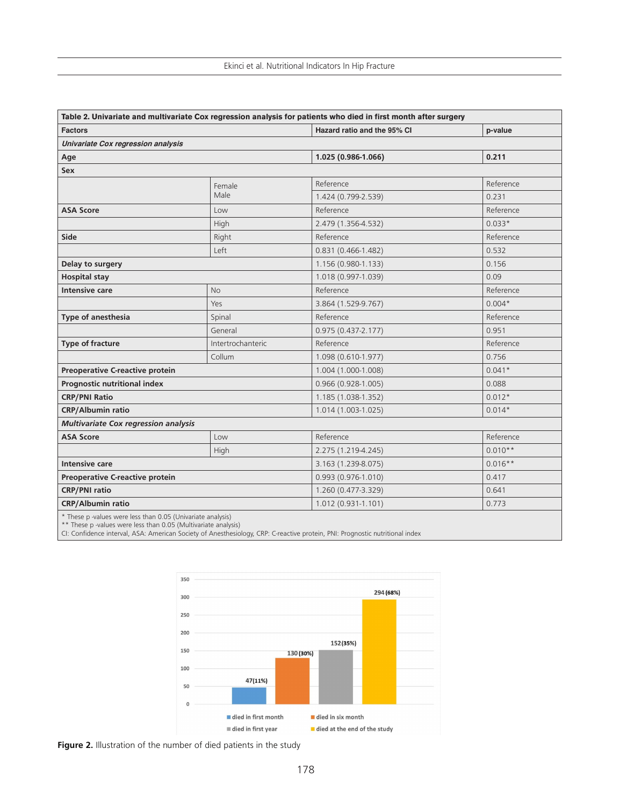|                                                             |                   | Table 2. Univariate and multivariate Cox regression analysis for patients who died in first month after surgery |           |
|-------------------------------------------------------------|-------------------|-----------------------------------------------------------------------------------------------------------------|-----------|
| <b>Factors</b>                                              |                   | Hazard ratio and the 95% CI                                                                                     | p-value   |
| Univariate Cox regression analysis                          |                   |                                                                                                                 |           |
| Age                                                         |                   | 1.025 (0.986-1.066)                                                                                             | 0.211     |
| Sex                                                         |                   |                                                                                                                 |           |
|                                                             | Female            | Reference                                                                                                       | Reference |
|                                                             | Male              | 1.424 (0.799-2.539)                                                                                             | 0.231     |
| <b>ASA Score</b>                                            | Low               | Reference                                                                                                       | Reference |
|                                                             | High              | 2.479 (1.356-4.532)                                                                                             | $0.033*$  |
| Side                                                        | Right             | Reference                                                                                                       | Reference |
|                                                             | Left              | 0.831 (0.466-1.482)                                                                                             | 0.532     |
| Delay to surgery                                            |                   | 1.156 (0.980-1.133)                                                                                             | 0.156     |
| <b>Hospital stay</b>                                        |                   | 1.018 (0.997-1.039)                                                                                             | 0.09      |
| <b>Intensive care</b>                                       | <b>No</b>         | Reference                                                                                                       | Reference |
|                                                             | Yes               | 3.864 (1.529-9.767)                                                                                             | $0.004*$  |
| <b>Type of anesthesia</b>                                   | Spinal            | Reference                                                                                                       | Reference |
|                                                             | General           | $0.975(0.437 - 2.177)$                                                                                          | 0.951     |
| <b>Type of fracture</b>                                     | Intertrochanteric | Reference                                                                                                       | Reference |
|                                                             | Collum            | 1.098 (0.610-1.977)                                                                                             | 0.756     |
| Preoperative C-reactive protein                             |                   | 1.004 (1.000-1.008)                                                                                             | $0.041*$  |
| Prognostic nutritional index                                |                   | $0.966(0.928-1.005)$                                                                                            | 0.088     |
| <b>CRP/PNI Ratio</b>                                        |                   | 1.185 (1.038-1.352)                                                                                             | $0.012*$  |
| <b>CRP/Albumin ratio</b>                                    |                   |                                                                                                                 | $0.014*$  |
| <b>Multivariate Cox regression analysis</b>                 |                   |                                                                                                                 |           |
| <b>ASA Score</b>                                            | Low               | Reference                                                                                                       | Reference |
|                                                             | High              | 2.275 (1.219-4.245)                                                                                             | $0.010**$ |
| Intensive care                                              |                   | 3.163 (1.239-8.075)                                                                                             | $0.016**$ |
| Preoperative C-reactive protein                             |                   | $0.993(0.976-1.010)$                                                                                            | 0.417     |
| <b>CRP/PNI ratio</b>                                        |                   | 1.260 (0.477-3.329)                                                                                             | 0.641     |
| <b>CRP/Albumin ratio</b>                                    |                   | $1.012(0.931-1.101)$                                                                                            | 0.773     |
| * These p -values were less than 0.05 (Univariate analysis) |                   |                                                                                                                 |           |

\*\* These p -values were less than 0.05 (Multivariate analysis)

CI: Confidence interval, ASA: American Society of Anesthesiology, CRP: C-reactive protein, PNI: Prognostic nutritional index



**Figure 2.** Illustration of the number of died patients in the study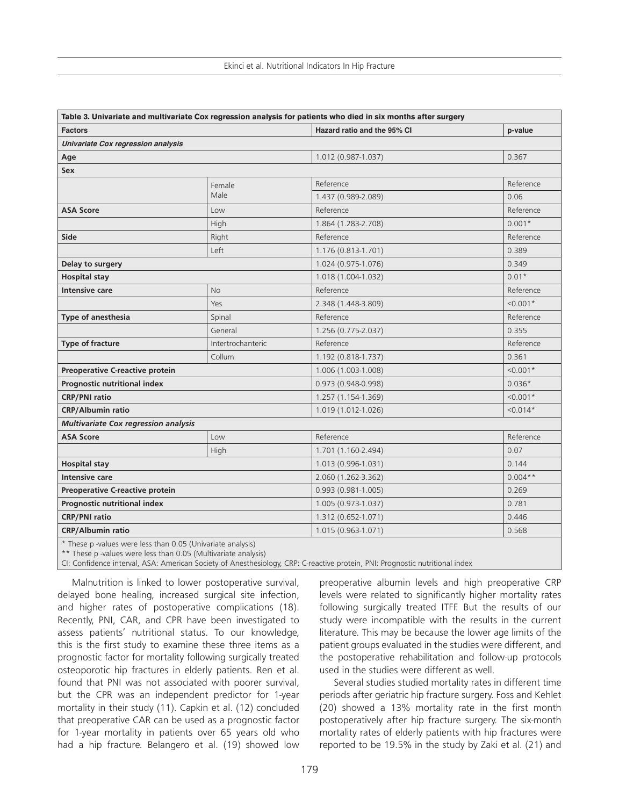|                                             |                   | Table 3. Univariate and multivariate Cox regression analysis for patients who died in six months after surgery |            |
|---------------------------------------------|-------------------|----------------------------------------------------------------------------------------------------------------|------------|
| <b>Factors</b>                              |                   | Hazard ratio and the 95% CI                                                                                    | p-value    |
| Univariate Cox regression analysis          |                   |                                                                                                                |            |
| Age                                         |                   | 1.012 (0.987-1.037)                                                                                            | 0.367      |
| Sex                                         |                   |                                                                                                                |            |
|                                             | Female            | Reference                                                                                                      | Reference  |
|                                             | Male              | 1.437 (0.989-2.089)                                                                                            | 0.06       |
| <b>ASA Score</b>                            | Low               | Reference                                                                                                      | Reference  |
|                                             | High              | 1.864 (1.283-2.708)                                                                                            | $0.001*$   |
| Side                                        | Right             | Reference                                                                                                      | Reference  |
|                                             | Left              | 1.176 (0.813-1.701)                                                                                            | 0.389      |
| Delay to surgery                            |                   | 1.024 (0.975-1.076)                                                                                            | 0.349      |
| <b>Hospital stay</b>                        |                   | 1.018 (1.004-1.032)                                                                                            | $0.01*$    |
| <b>Intensive care</b>                       | <b>No</b>         | Reference                                                                                                      | Reference  |
|                                             | Yes               | 2.348 (1.448-3.809)                                                                                            | $< 0.001*$ |
| Type of anesthesia                          | Spinal            | Reference                                                                                                      | Reference  |
|                                             | General           | 1.256 (0.775-2.037)                                                                                            | 0.355      |
| Type of fracture                            | Intertrochanteric | Reference                                                                                                      | Reference  |
|                                             | Collum            | 1.192 (0.818-1.737)                                                                                            | 0.361      |
| Preoperative C-reactive protein             |                   | 1.006 (1.003-1.008)                                                                                            | $< 0.001*$ |
| Prognostic nutritional index                |                   | $0.973(0.948-0.998)$                                                                                           | $0.036*$   |
| <b>CRP/PNI</b> ratio                        |                   | 1.257 (1.154-1.369)                                                                                            | $< 0.001*$ |
| <b>CRP/Albumin ratio</b>                    |                   | 1.019 (1.012-1.026)                                                                                            | $< 0.014*$ |
| <b>Multivariate Cox regression analysis</b> |                   |                                                                                                                |            |
| <b>ASA Score</b>                            | Low               | Reference                                                                                                      | Reference  |
|                                             | High              | 1.701 (1.160-2.494)                                                                                            | 0.07       |
| <b>Hospital stay</b>                        |                   | 1.013 (0.996-1.031)                                                                                            | 0.144      |
| Intensive care                              |                   | 2.060 (1.262-3.362)                                                                                            | $0.004**$  |
| Preoperative C-reactive protein             |                   | $0.993(0.981-1.005)$                                                                                           | 0.269      |
| Prognostic nutritional index                |                   | 1.005 (0.973-1.037)                                                                                            | 0.781      |
| <b>CRP/PNI</b> ratio                        |                   | 1.312 (0.652-1.071)                                                                                            | 0.446      |
| <b>CRP/Albumin ratio</b>                    |                   | 1.015 (0.963-1.071)                                                                                            | 0.568      |
|                                             |                   |                                                                                                                |            |

\* These p -values were less than 0.05 (Univariate analysis)

\*\* These p -values were less than 0.05 (Multivariate analysis)

CI: Confidence interval, ASA: American Society of Anesthesiology, CRP: C-reactive protein, PNI: Prognostic nutritional index

Malnutrition is linked to lower postoperative survival, delayed bone healing, increased surgical site infection, and higher rates of postoperative complications (18). Recently, PNI, CAR, and CPR have been investigated to assess patients' nutritional status. To our knowledge, this is the first study to examine these three items as a prognostic factor for mortality following surgically treated osteoporotic hip fractures in elderly patients. Ren et al. found that PNI was not associated with poorer survival, but the CPR was an independent predictor for 1-year mortality in their study (11). Capkin et al. (12) concluded that preoperative CAR can be used as a prognostic factor for 1-year mortality in patients over 65 years old who had a hip fracture. Belangero et al. (19) showed low

preoperative albumin levels and high preoperative CRP levels were related to significantly higher mortality rates following surgically treated ITFF. But the results of our study were incompatible with the results in the current literature. This may be because the lower age limits of the patient groups evaluated in the studies were different, and the postoperative rehabilitation and follow-up protocols used in the studies were different as well.

Several studies studied mortality rates in different time periods after geriatric hip fracture surgery. Foss and Kehlet (20) showed a 13% mortality rate in the first month postoperatively after hip fracture surgery. The six-month mortality rates of elderly patients with hip fractures were reported to be 19.5% in the study by Zaki et al. (21) and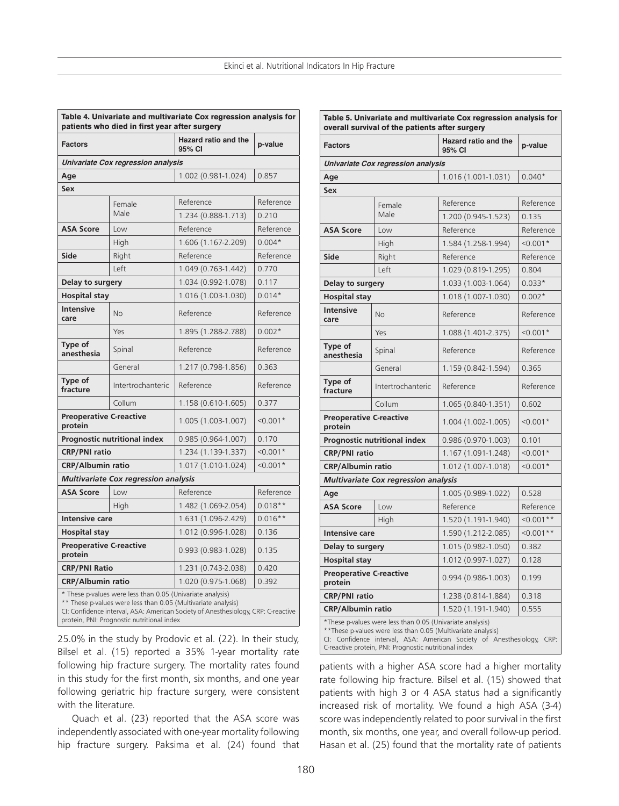|                                           | patients who died in first year after surgery              | Hazard ratio and the                                                                                                                             |            |
|-------------------------------------------|------------------------------------------------------------|--------------------------------------------------------------------------------------------------------------------------------------------------|------------|
| <b>Factors</b>                            |                                                            | 95% CI                                                                                                                                           | p-value    |
|                                           | Univariate Cox regression analysis                         |                                                                                                                                                  |            |
| Age                                       |                                                            | 1.002 (0.981-1.024)                                                                                                                              | 0.857      |
| Sex                                       |                                                            |                                                                                                                                                  |            |
|                                           | Female                                                     | Reference                                                                                                                                        | Reference  |
|                                           | Male                                                       | 1.234 (0.888-1.713)                                                                                                                              | 0.210      |
| <b>ASA Score</b>                          | Low                                                        | Reference                                                                                                                                        | Reference  |
|                                           | High                                                       | 1.606 (1.167-2.209)                                                                                                                              | $0.004*$   |
| <b>Side</b>                               | Right                                                      | Reference                                                                                                                                        | Reference  |
|                                           | Left                                                       | 1.049 (0.763-1.442)                                                                                                                              | 0.770      |
| Delay to surgery                          |                                                            | 1.034 (0.992-1.078)                                                                                                                              | 0.117      |
| <b>Hospital stay</b>                      |                                                            | 1.016 (1.003-1.030)                                                                                                                              | $0.014*$   |
| <b>Intensive</b><br>care                  | <b>No</b>                                                  | Reference                                                                                                                                        | Reference  |
|                                           | Yes                                                        | 1.895 (1.288-2.788)                                                                                                                              | $0.002*$   |
| Type of<br>anesthesia                     | Spinal                                                     | Reference                                                                                                                                        | Reference  |
|                                           | General                                                    | 1.217 (0.798-1.856)                                                                                                                              | 0.363      |
| Type of<br>fracture                       | Intertrochanteric                                          | Reference                                                                                                                                        | Reference  |
|                                           | Collum                                                     | 1.158 (0.610-1.605)                                                                                                                              | 0.377      |
| <b>Preoperative C-reactive</b><br>protein |                                                            | 1.005 (1.003-1.007)                                                                                                                              | $< 0.001*$ |
|                                           | Prognostic nutritional index                               | $0.985(0.964-1.007)$                                                                                                                             | 0.170      |
| <b>CRP/PNI ratio</b>                      |                                                            | 1.234 (1.139-1.337)                                                                                                                              | $< 0.001*$ |
| <b>CRP/Albumin ratio</b>                  |                                                            | 1.017 (1.010-1.024)                                                                                                                              | $< 0.001*$ |
|                                           | <b>Multivariate Cox regression analysis</b>                |                                                                                                                                                  |            |
| <b>ASA Score</b>                          | Low                                                        | Reference                                                                                                                                        | Reference  |
|                                           | High                                                       | 1.482 (1.069-2.054)                                                                                                                              | $0.018**$  |
| <b>Intensive care</b>                     |                                                            | 1.631 (1.096-2.429)                                                                                                                              | $0.016**$  |
| <b>Hospital stay</b>                      |                                                            | 1.012 (0.996-1.028)                                                                                                                              | 0.136      |
| <b>Preoperative C-reactive</b><br>protein |                                                            | $0.993(0.983-1.028)$                                                                                                                             | 0.135      |
| <b>CRP/PNI Ratio</b>                      |                                                            | 1.231 (0.743-2.038)                                                                                                                              | 0.420      |
| <b>CRP/Albumin ratio</b>                  |                                                            | 1.020 (0.975-1.068)                                                                                                                              | 0.392      |
|                                           | * These p-values were less than 0.05 (Univariate analysis) | ** These p-values were less than 0.05 (Multivariate analysis)<br>Cli Confidence internal, ASA: American Society of Anosthecialogy CDD: Croactive |            |

CI: Confidence interval, ASA: American Society of Anesthesiology, CRP: C-reactive protein, PNI: Prognostic nutritional index

25.0% in the study by Prodovic et al. (22). In their study, Bilsel et al. (15) reported a 35% 1-year mortality rate following hip fracture surgery. The mortality rates found in this study for the first month, six months, and one year following geriatric hip fracture surgery, were consistent with the literature.

Quach et al. (23) reported that the ASA score was independently associated with one-year mortality following hip fracture surgery. Paksima et al. (24) found that

| <b>Factors</b>                            |                                                                                                                                                                                     | <b>Hazard ratio and the</b><br>95% CI                                  | p-value     |
|-------------------------------------------|-------------------------------------------------------------------------------------------------------------------------------------------------------------------------------------|------------------------------------------------------------------------|-------------|
|                                           | Univariate Cox regression analysis                                                                                                                                                  |                                                                        |             |
| Age                                       |                                                                                                                                                                                     | 1.016 (1.001-1.031)                                                    | $0.040*$    |
| Sex                                       |                                                                                                                                                                                     |                                                                        |             |
|                                           | Female                                                                                                                                                                              | Reference                                                              | Reference   |
|                                           | Male                                                                                                                                                                                | 1.200 (0.945-1.523)                                                    | 0.135       |
| <b>ASA Score</b>                          | Low                                                                                                                                                                                 | Reference                                                              | Reference   |
|                                           | High                                                                                                                                                                                | 1.584 (1.258-1.994)                                                    | $< 0.001*$  |
| Side                                      | Right                                                                                                                                                                               | Reference                                                              | Reference   |
|                                           | Left                                                                                                                                                                                | 1.029 (0.819-1.295)                                                    | 0.804       |
| Delay to surgery                          |                                                                                                                                                                                     | 1.033 (1.003-1.064)                                                    | $0.033*$    |
| <b>Hospital stay</b>                      |                                                                                                                                                                                     | 1.018 (1.007-1.030)                                                    | $0.002*$    |
| <b>Intensive</b><br>care                  | <b>No</b>                                                                                                                                                                           | Reference                                                              | Reference   |
|                                           | Yes                                                                                                                                                                                 | 1.088 (1.401-2.375)                                                    | $< 0.001*$  |
| Type of<br>anesthesia                     | Spinal                                                                                                                                                                              | Reference                                                              | Reference   |
|                                           | General                                                                                                                                                                             | 1.159 (0.842-1.594)                                                    | 0.365       |
| Type of<br>fracture                       | Intertrochanteric                                                                                                                                                                   | Reference                                                              | Reference   |
|                                           | Collum                                                                                                                                                                              | 1.065 (0.840-1.351)                                                    | 0.602       |
| <b>Preoperative C-reactive</b><br>protein |                                                                                                                                                                                     | 1.004 (1.002-1.005)                                                    | $< 0.001*$  |
|                                           | Prognostic nutritional index                                                                                                                                                        | $0.986(0.970-1.003)$                                                   | 0.101       |
| <b>CRP/PNI</b> ratio                      |                                                                                                                                                                                     | 1.167 (1.091-1.248)                                                    | $< 0.001*$  |
| <b>CRP/Albumin ratio</b>                  |                                                                                                                                                                                     | 1.012 (1.007-1.018)                                                    | $< 0.001*$  |
|                                           | <b>Multivariate Cox regression analysis</b>                                                                                                                                         |                                                                        |             |
| Age                                       |                                                                                                                                                                                     | 1.005 (0.989-1.022)                                                    | 0.528       |
| <b>ASA Score</b>                          | Low                                                                                                                                                                                 | Reference                                                              | Reference   |
|                                           | High                                                                                                                                                                                | 1.520 (1.191-1.940)                                                    | $< 0.001**$ |
| <b>Intensive care</b>                     |                                                                                                                                                                                     | 1.590 (1.212-2.085)                                                    | $< 0.001**$ |
| Delay to surgery                          |                                                                                                                                                                                     | 1.015 (0.982-1.050)                                                    | 0.382       |
| <b>Hospital stay</b>                      |                                                                                                                                                                                     | 1.012 (0.997-1.027)                                                    | 0.128       |
| <b>Preoperative C-reactive</b><br>protein |                                                                                                                                                                                     | 0.994 (0.986-1.003)                                                    | 0.199       |
| <b>CRP/PNI ratio</b>                      |                                                                                                                                                                                     | 1.238 (0.814-1.884)                                                    | 0.318       |
| <b>CRP/Albumin ratio</b>                  |                                                                                                                                                                                     | 1.520 (1.191-1.940)                                                    | 0.555       |
|                                           | *These p-values were less than 0.05 (Univariate analysis)<br>** These p-values were less than 0.05 (Multivariate analysis)<br>C-reactive protein, PNI: Prognostic nutritional index | CI: Confidence interval, ASA: American Society of Anesthesiology, CRP: |             |

patients with a higher ASA score had a higher mortality rate following hip fracture. Bilsel et al. (15) showed that patients with high 3 or 4 ASA status had a significantly increased risk of mortality. We found a high ASA (3-4) score was independently related to poor survival in the first month, six months, one year, and overall follow-up period. Hasan et al. (25) found that the mortality rate of patients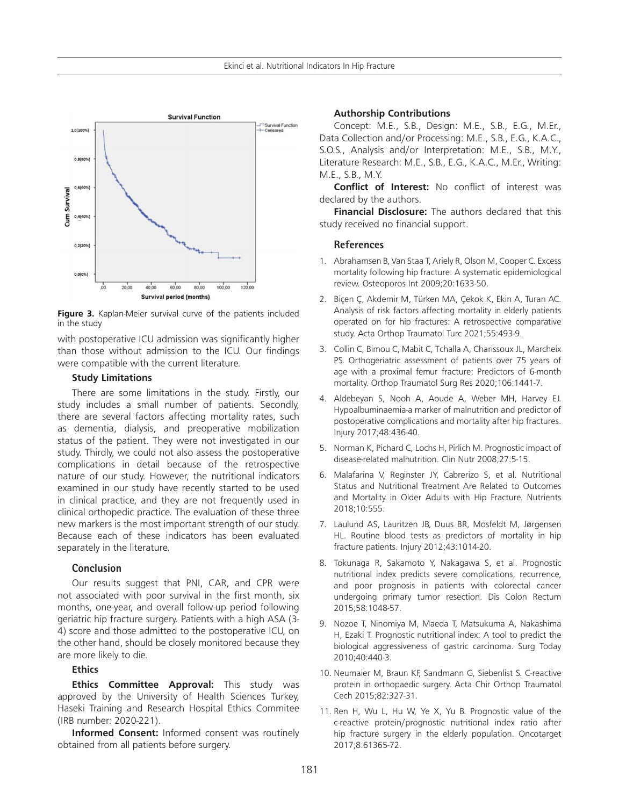

**Figure 3.** Kaplan-Meier survival curve of the patients included in the study

with postoperative ICU admission was significantly higher than those without admission to the ICU. Our findings were compatible with the current literature.

#### **Study Limitations**

There are some limitations in the study. Firstly, our study includes a small number of patients. Secondly, there are several factors affecting mortality rates, such as dementia, dialysis, and preoperative mobilization status of the patient. They were not investigated in our study. Thirdly, we could not also assess the postoperative complications in detail because of the retrospective nature of our study. However, the nutritional indicators examined in our study have recently started to be used in clinical practice, and they are not frequently used in clinical orthopedic practice. The evaluation of these three new markers is the most important strength of our study. Because each of these indicators has been evaluated separately in the literature.

### **Conclusion**

Our results suggest that PNI, CAR, and CPR were not associated with poor survival in the first month, six months, one-year, and overall follow-up period following geriatric hip fracture surgery. Patients with a high ASA (3- 4) score and those admitted to the postoperative ICU, on the other hand, should be closely monitored because they are more likely to die.

## **Ethics**

**Ethics Committee Approval:** This study was approved by the University of Health Sciences Turkey, Haseki Training and Research Hospital Ethics Commitee (IRB number: 2020-221).

**Informed Consent:** Informed consent was routinely obtained from all patients before surgery.

#### **Authorship Contributions**

Concept: M.E., S.B., Design: M.E., S.B., E.G., M.Er., Data Collection and/or Processing: M.E., S.B., E.G., K.A.C., S.O.S., Analysis and/or Interpretation: M.E., S.B., M.Y., Literature Research: M.E., S.B., E.G., K.A.C., M.Er., Writing: M.E., S.B., M.Y.

**Conflict of Interest:** No conflict of interest was declared by the authors.

**Financial Disclosure:** The authors declared that this study received no financial support.

#### **References**

- 1. Abrahamsen B, Van Staa T, Ariely R, Olson M, Cooper C. Excess mortality following hip fracture: A systematic epidemiological review. Osteoporos Int 2009;20:1633-50.
- 2. Biçen Ç, Akdemir M, Türken MA, Çekok K, Ekin A, Turan AC. Analysis of risk factors affecting mortality in elderly patients operated on for hip fractures: A retrospective comparative study. Acta Orthop Traumatol Turc 2021;55:493-9.
- 3. Collin C, Bimou C, Mabit C, Tchalla A, Charissoux JL, Marcheix PS. Orthogeriatric assessment of patients over 75 years of age with a proximal femur fracture: Predictors of 6-month mortality. Orthop Traumatol Surg Res 2020;106:1441-7.
- 4. Aldebeyan S, Nooh A, Aoude A, Weber MH, Harvey EJ. Hypoalbuminaemia-a marker of malnutrition and predictor of postoperative complications and mortality after hip fractures. Injury 2017;48:436-40.
- 5. Norman K, Pichard C, Lochs H, Pirlich M. Prognostic impact of disease-related malnutrition. Clin Nutr 2008;27:5-15.
- 6. Malafarina V, Reginster JY, Cabrerizo S, et al. Nutritional Status and Nutritional Treatment Are Related to Outcomes and Mortality in Older Adults with Hip Fracture. Nutrients 2018;10:555.
- 7. Laulund AS, Lauritzen JB, Duus BR, Mosfeldt M, Jørgensen HL. Routine blood tests as predictors of mortality in hip fracture patients. Injury 2012;43:1014-20.
- 8. Tokunaga R, Sakamoto Y, Nakagawa S, et al. Prognostic nutritional index predicts severe complications, recurrence, and poor prognosis in patients with colorectal cancer undergoing primary tumor resection. Dis Colon Rectum 2015;58:1048-57.
- 9. Nozoe T, Ninomiya M, Maeda T, Matsukuma A, Nakashima H, Ezaki T. Prognostic nutritional index: A tool to predict the biological aggressiveness of gastric carcinoma. Surg Today 2010;40:440-3.
- 10. Neumaier M, Braun KF, Sandmann G, Siebenlist S. C-reactive protein in orthopaedic surgery. Acta Chir Orthop Traumatol Cech 2015;82:327-31.
- 11. Ren H, Wu L, Hu W, Ye X, Yu B. Prognostic value of the c-reactive protein/prognostic nutritional index ratio after hip fracture surgery in the elderly population. Oncotarget 2017;8:61365-72.